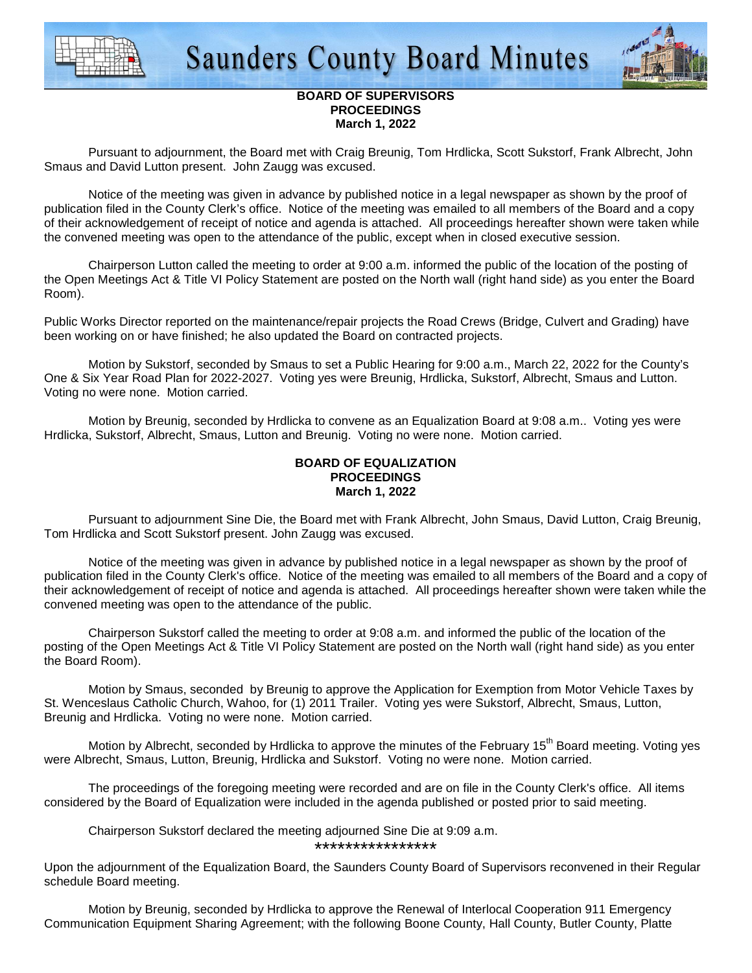



# **BOARD OF SUPERVISORS PROCEEDINGS March 1, 2022**

 Pursuant to adjournment, the Board met with Craig Breunig, Tom Hrdlicka, Scott Sukstorf, Frank Albrecht, John Smaus and David Lutton present. John Zaugg was excused.

 Notice of the meeting was given in advance by published notice in a legal newspaper as shown by the proof of publication filed in the County Clerk's office. Notice of the meeting was emailed to all members of the Board and a copy of their acknowledgement of receipt of notice and agenda is attached. All proceedings hereafter shown were taken while the convened meeting was open to the attendance of the public, except when in closed executive session.

 Chairperson Lutton called the meeting to order at 9:00 a.m. informed the public of the location of the posting of the Open Meetings Act & Title VI Policy Statement are posted on the North wall (right hand side) as you enter the Board Room).

Public Works Director reported on the maintenance/repair projects the Road Crews (Bridge, Culvert and Grading) have been working on or have finished; he also updated the Board on contracted projects.

 Motion by Sukstorf, seconded by Smaus to set a Public Hearing for 9:00 a.m., March 22, 2022 for the County's One & Six Year Road Plan for 2022-2027. Voting yes were Breunig, Hrdlicka, Sukstorf, Albrecht, Smaus and Lutton. Voting no were none. Motion carried.

 Motion by Breunig, seconded by Hrdlicka to convene as an Equalization Board at 9:08 a.m.. Voting yes were Hrdlicka, Sukstorf, Albrecht, Smaus, Lutton and Breunig. Voting no were none. Motion carried.

## **BOARD OF EQUALIZATION PROCEEDINGS March 1, 2022**

 Pursuant to adjournment Sine Die, the Board met with Frank Albrecht, John Smaus, David Lutton, Craig Breunig, Tom Hrdlicka and Scott Sukstorf present. John Zaugg was excused.

 Notice of the meeting was given in advance by published notice in a legal newspaper as shown by the proof of publication filed in the County Clerk's office. Notice of the meeting was emailed to all members of the Board and a copy of their acknowledgement of receipt of notice and agenda is attached. All proceedings hereafter shown were taken while the convened meeting was open to the attendance of the public.

 Chairperson Sukstorf called the meeting to order at 9:08 a.m. and informed the public of the location of the posting of the Open Meetings Act & Title VI Policy Statement are posted on the North wall (right hand side) as you enter the Board Room).

Motion by Smaus, seconded by Breunig to approve the Application for Exemption from Motor Vehicle Taxes by St. Wenceslaus Catholic Church, Wahoo, for (1) 2011 Trailer. Voting yes were Sukstorf, Albrecht, Smaus, Lutton, Breunig and Hrdlicka. Voting no were none. Motion carried.

Motion by Albrecht, seconded by Hrdlicka to approve the minutes of the February 15<sup>th</sup> Board meeting. Voting ves were Albrecht, Smaus, Lutton, Breunig, Hrdlicka and Sukstorf. Voting no were none. Motion carried.

 The proceedings of the foregoing meeting were recorded and are on file in the County Clerk's office. All items considered by the Board of Equalization were included in the agenda published or posted prior to said meeting.

 Chairperson Sukstorf declared the meeting adjourned Sine Die at 9:09 a.m. \*\*\*\*\*\*\*\*\*\*\*\*\*\*\*\*

Upon the adjournment of the Equalization Board, the Saunders County Board of Supervisors reconvened in their Regular schedule Board meeting.

 Motion by Breunig, seconded by Hrdlicka to approve the Renewal of Interlocal Cooperation 911 Emergency Communication Equipment Sharing Agreement; with the following Boone County, Hall County, Butler County, Platte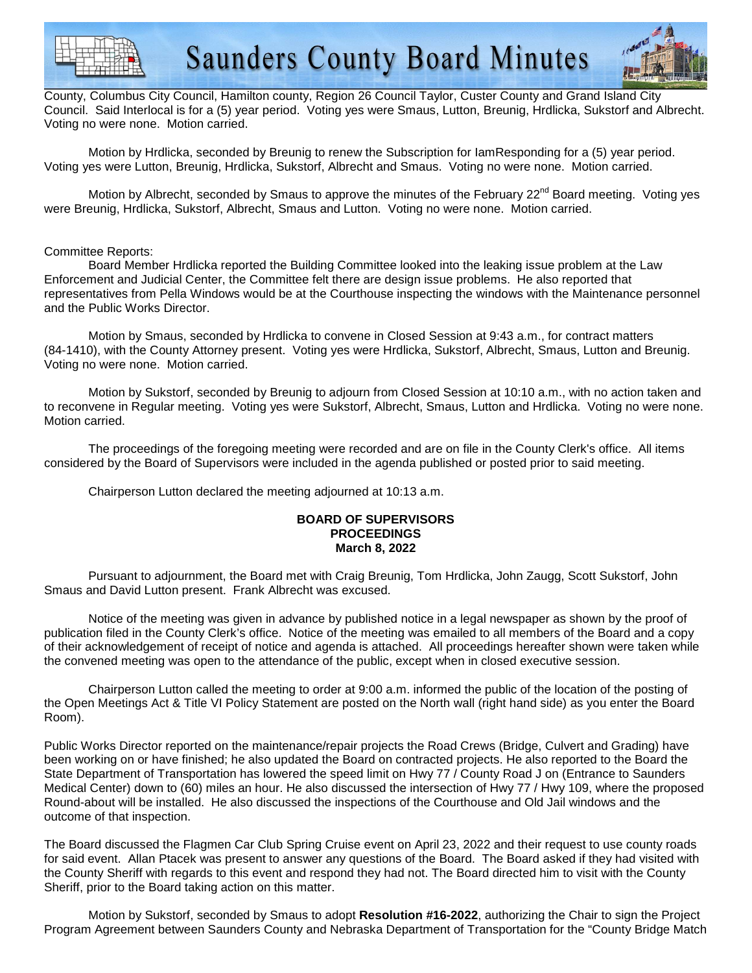



County, Columbus City Council, Hamilton county, Region 26 Council Taylor, Custer County and Grand Island City Council. Said Interlocal is for a (5) year period. Voting yes were Smaus, Lutton, Breunig, Hrdlicka, Sukstorf and Albrecht. Voting no were none. Motion carried.

 Motion by Hrdlicka, seconded by Breunig to renew the Subscription for IamResponding for a (5) year period. Voting yes were Lutton, Breunig, Hrdlicka, Sukstorf, Albrecht and Smaus. Voting no were none. Motion carried.

Motion by Albrecht, seconded by Smaus to approve the minutes of the February 22<sup>nd</sup> Board meeting. Voting yes were Breunig, Hrdlicka, Sukstorf, Albrecht, Smaus and Lutton. Voting no were none. Motion carried.

### Committee Reports:

 Board Member Hrdlicka reported the Building Committee looked into the leaking issue problem at the Law Enforcement and Judicial Center, the Committee felt there are design issue problems. He also reported that representatives from Pella Windows would be at the Courthouse inspecting the windows with the Maintenance personnel and the Public Works Director.

 Motion by Smaus, seconded by Hrdlicka to convene in Closed Session at 9:43 a.m., for contract matters (84-1410), with the County Attorney present. Voting yes were Hrdlicka, Sukstorf, Albrecht, Smaus, Lutton and Breunig. Voting no were none. Motion carried.

 Motion by Sukstorf, seconded by Breunig to adjourn from Closed Session at 10:10 a.m., with no action taken and to reconvene in Regular meeting. Voting yes were Sukstorf, Albrecht, Smaus, Lutton and Hrdlicka. Voting no were none. Motion carried.

 The proceedings of the foregoing meeting were recorded and are on file in the County Clerk's office. All items considered by the Board of Supervisors were included in the agenda published or posted prior to said meeting.

Chairperson Lutton declared the meeting adjourned at 10:13 a.m.

### **BOARD OF SUPERVISORS PROCEEDINGS March 8, 2022**

 Pursuant to adjournment, the Board met with Craig Breunig, Tom Hrdlicka, John Zaugg, Scott Sukstorf, John Smaus and David Lutton present. Frank Albrecht was excused.

 Notice of the meeting was given in advance by published notice in a legal newspaper as shown by the proof of publication filed in the County Clerk's office. Notice of the meeting was emailed to all members of the Board and a copy of their acknowledgement of receipt of notice and agenda is attached. All proceedings hereafter shown were taken while the convened meeting was open to the attendance of the public, except when in closed executive session.

 Chairperson Lutton called the meeting to order at 9:00 a.m. informed the public of the location of the posting of the Open Meetings Act & Title VI Policy Statement are posted on the North wall (right hand side) as you enter the Board Room).

Public Works Director reported on the maintenance/repair projects the Road Crews (Bridge, Culvert and Grading) have been working on or have finished; he also updated the Board on contracted projects. He also reported to the Board the State Department of Transportation has lowered the speed limit on Hwy 77 / County Road J on (Entrance to Saunders Medical Center) down to (60) miles an hour. He also discussed the intersection of Hwy 77 / Hwy 109, where the proposed Round-about will be installed. He also discussed the inspections of the Courthouse and Old Jail windows and the outcome of that inspection.

The Board discussed the Flagmen Car Club Spring Cruise event on April 23, 2022 and their request to use county roads for said event. Allan Ptacek was present to answer any questions of the Board. The Board asked if they had visited with the County Sheriff with regards to this event and respond they had not. The Board directed him to visit with the County Sheriff, prior to the Board taking action on this matter.

Motion by Sukstorf, seconded by Smaus to adopt **Resolution #16-2022**, authorizing the Chair to sign the Project Program Agreement between Saunders County and Nebraska Department of Transportation for the "County Bridge Match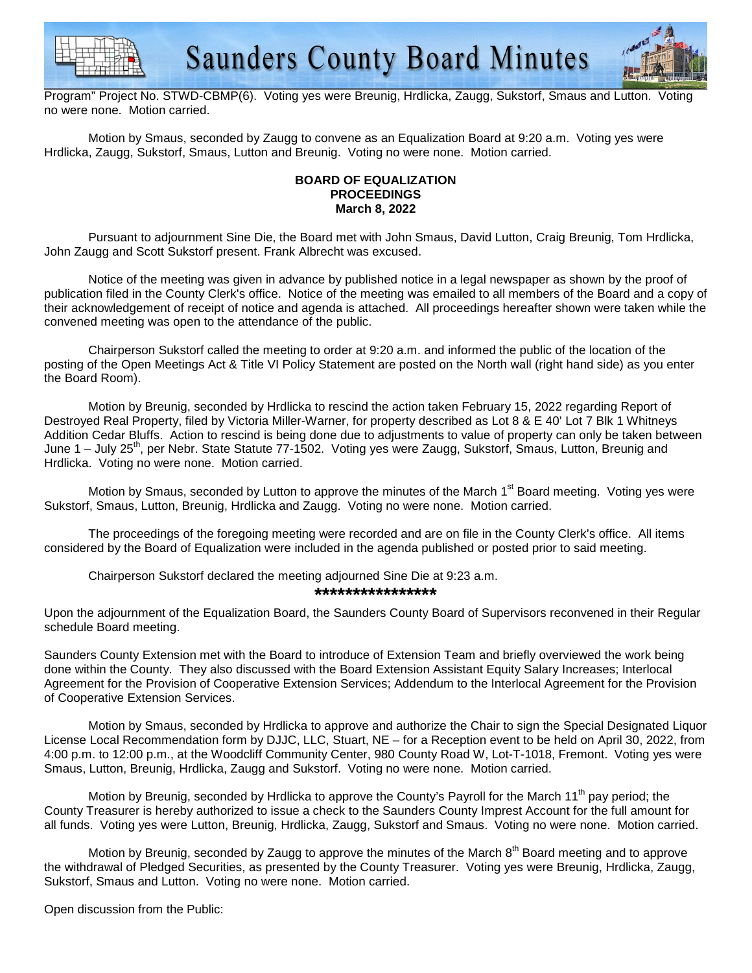



Program" Project No. STWD-CBMP(6). Voting yes were Breunig, Hrdlicka, Zaugg, Sukstorf, Smaus and Lutton. Voting no were none. Motion carried.

Motion by Smaus, seconded by Zaugg to convene as an Equalization Board at 9:20 a.m. Voting yes were Hrdlicka, Zaugg, Sukstorf, Smaus, Lutton and Breunig. Voting no were none. Motion carried.

## **BOARD OF EQUALIZATION PROCEEDINGS March 8, 2022**

 Pursuant to adjournment Sine Die, the Board met with John Smaus, David Lutton, Craig Breunig, Tom Hrdlicka, John Zaugg and Scott Sukstorf present. Frank Albrecht was excused.

 Notice of the meeting was given in advance by published notice in a legal newspaper as shown by the proof of publication filed in the County Clerk's office. Notice of the meeting was emailed to all members of the Board and a copy of their acknowledgement of receipt of notice and agenda is attached. All proceedings hereafter shown were taken while the convened meeting was open to the attendance of the public.

 Chairperson Sukstorf called the meeting to order at 9:20 a.m. and informed the public of the location of the posting of the Open Meetings Act & Title VI Policy Statement are posted on the North wall (right hand side) as you enter the Board Room).

Motion by Breunig, seconded by Hrdlicka to rescind the action taken February 15, 2022 regarding Report of Destroyed Real Property, filed by Victoria Miller-Warner, for property described as Lot 8 & E 40' Lot 7 Blk 1 Whitneys Addition Cedar Bluffs. Action to rescind is being done due to adjustments to value of property can only be taken between June 1 – July 25<sup>th</sup>, per Nebr. State Statute 77-1502. Voting yes were Zaugg, Sukstorf, Smaus, Lutton, Breunig and Hrdlicka. Voting no were none. Motion carried.

Motion by Smaus, seconded by Lutton to approve the minutes of the March 1<sup>st</sup> Board meeting. Voting yes were Sukstorf, Smaus, Lutton, Breunig, Hrdlicka and Zaugg. Voting no were none. Motion carried.

 The proceedings of the foregoing meeting were recorded and are on file in the County Clerk's office. All items considered by the Board of Equalization were included in the agenda published or posted prior to said meeting.

Chairperson Sukstorf declared the meeting adjourned Sine Die at 9:23 a.m.

**\*\*\*\*\*\*\*\*\*\*\*\*\*\*\*\*** 

Upon the adjournment of the Equalization Board, the Saunders County Board of Supervisors reconvened in their Regular schedule Board meeting.

Saunders County Extension met with the Board to introduce of Extension Team and briefly overviewed the work being done within the County. They also discussed with the Board Extension Assistant Equity Salary Increases; Interlocal Agreement for the Provision of Cooperative Extension Services; Addendum to the Interlocal Agreement for the Provision of Cooperative Extension Services.

 Motion by Smaus, seconded by Hrdlicka to approve and authorize the Chair to sign the Special Designated Liquor License Local Recommendation form by DJJC, LLC, Stuart, NE – for a Reception event to be held on April 30, 2022, from 4:00 p.m. to 12:00 p.m., at the Woodcliff Community Center, 980 County Road W, Lot-T-1018, Fremont. Voting yes were Smaus, Lutton, Breunig, Hrdlicka, Zaugg and Sukstorf. Voting no were none. Motion carried.

Motion by Breunig, seconded by Hrdlicka to approve the County's Payroll for the March 11<sup>th</sup> pay period; the County Treasurer is hereby authorized to issue a check to the Saunders County Imprest Account for the full amount for all funds. Voting yes were Lutton, Breunig, Hrdlicka, Zaugg, Sukstorf and Smaus. Voting no were none. Motion carried.

Motion by Breunig, seconded by Zaugg to approve the minutes of the March 8<sup>th</sup> Board meeting and to approve the withdrawal of Pledged Securities, as presented by the County Treasurer. Voting yes were Breunig, Hrdlicka, Zaugg, Sukstorf, Smaus and Lutton. Voting no were none. Motion carried.

Open discussion from the Public: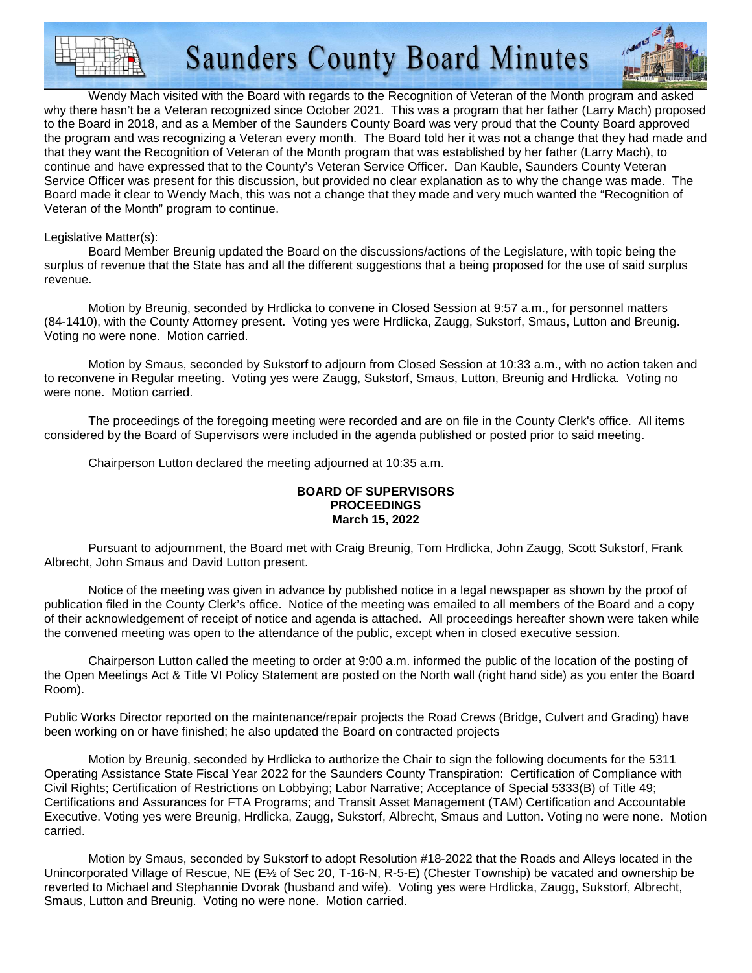**Saunders County Board Minutes** 



 Wendy Mach visited with the Board with regards to the Recognition of Veteran of the Month program and asked why there hasn't be a Veteran recognized since October 2021. This was a program that her father (Larry Mach) proposed to the Board in 2018, and as a Member of the Saunders County Board was very proud that the County Board approved the program and was recognizing a Veteran every month. The Board told her it was not a change that they had made and that they want the Recognition of Veteran of the Month program that was established by her father (Larry Mach), to continue and have expressed that to the County's Veteran Service Officer. Dan Kauble, Saunders County Veteran Service Officer was present for this discussion, but provided no clear explanation as to why the change was made. The Board made it clear to Wendy Mach, this was not a change that they made and very much wanted the "Recognition of Veteran of the Month" program to continue.

### Legislative Matter(s):

 Board Member Breunig updated the Board on the discussions/actions of the Legislature, with topic being the surplus of revenue that the State has and all the different suggestions that a being proposed for the use of said surplus revenue.

Motion by Breunig, seconded by Hrdlicka to convene in Closed Session at 9:57 a.m., for personnel matters (84-1410), with the County Attorney present. Voting yes were Hrdlicka, Zaugg, Sukstorf, Smaus, Lutton and Breunig. Voting no were none. Motion carried.

 Motion by Smaus, seconded by Sukstorf to adjourn from Closed Session at 10:33 a.m., with no action taken and to reconvene in Regular meeting. Voting yes were Zaugg, Sukstorf, Smaus, Lutton, Breunig and Hrdlicka. Voting no were none. Motion carried.

 The proceedings of the foregoing meeting were recorded and are on file in the County Clerk's office. All items considered by the Board of Supervisors were included in the agenda published or posted prior to said meeting.

Chairperson Lutton declared the meeting adjourned at 10:35 a.m.

### **BOARD OF SUPERVISORS PROCEEDINGS March 15, 2022**

 Pursuant to adjournment, the Board met with Craig Breunig, Tom Hrdlicka, John Zaugg, Scott Sukstorf, Frank Albrecht, John Smaus and David Lutton present.

 Notice of the meeting was given in advance by published notice in a legal newspaper as shown by the proof of publication filed in the County Clerk's office. Notice of the meeting was emailed to all members of the Board and a copy of their acknowledgement of receipt of notice and agenda is attached. All proceedings hereafter shown were taken while the convened meeting was open to the attendance of the public, except when in closed executive session.

 Chairperson Lutton called the meeting to order at 9:00 a.m. informed the public of the location of the posting of the Open Meetings Act & Title VI Policy Statement are posted on the North wall (right hand side) as you enter the Board Room).

Public Works Director reported on the maintenance/repair projects the Road Crews (Bridge, Culvert and Grading) have been working on or have finished; he also updated the Board on contracted projects

Motion by Breunig, seconded by Hrdlicka to authorize the Chair to sign the following documents for the 5311 Operating Assistance State Fiscal Year 2022 for the Saunders County Transpiration: Certification of Compliance with Civil Rights; Certification of Restrictions on Lobbying; Labor Narrative; Acceptance of Special 5333(B) of Title 49; Certifications and Assurances for FTA Programs; and Transit Asset Management (TAM) Certification and Accountable Executive. Voting yes were Breunig, Hrdlicka, Zaugg, Sukstorf, Albrecht, Smaus and Lutton. Voting no were none. Motion carried.

Motion by Smaus, seconded by Sukstorf to adopt Resolution #18-2022 that the Roads and Alleys located in the Unincorporated Village of Rescue, NE (E½ of Sec 20, T-16-N, R-5-E) (Chester Township) be vacated and ownership be reverted to Michael and Stephannie Dvorak (husband and wife). Voting yes were Hrdlicka, Zaugg, Sukstorf, Albrecht, Smaus, Lutton and Breunig. Voting no were none. Motion carried.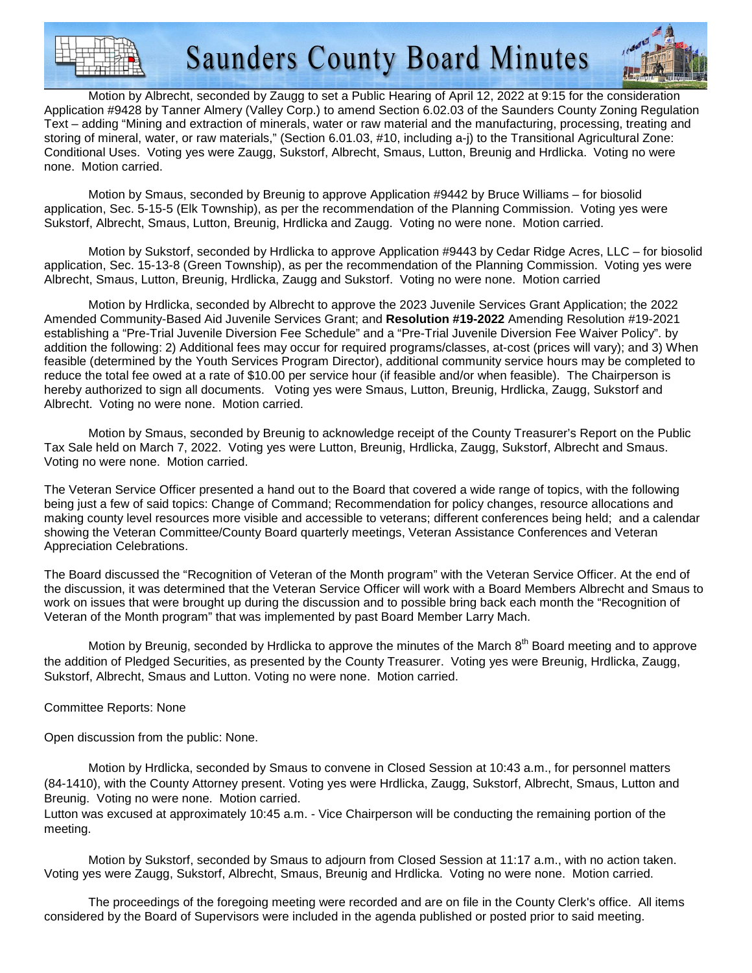

**Saunders County Board Minutes** 



Motion by Albrecht, seconded by Zaugg to set a Public Hearing of April 12, 2022 at 9:15 for the consideration Application #9428 by Tanner Almery (Valley Corp.) to amend Section 6.02.03 of the Saunders County Zoning Regulation Text – adding "Mining and extraction of minerals, water or raw material and the manufacturing, processing, treating and storing of mineral, water, or raw materials," (Section 6.01.03, #10, including a-j) to the Transitional Agricultural Zone: Conditional Uses. Voting yes were Zaugg, Sukstorf, Albrecht, Smaus, Lutton, Breunig and Hrdlicka. Voting no were none. Motion carried.

Motion by Smaus, seconded by Breunig to approve Application #9442 by Bruce Williams – for biosolid application, Sec. 5-15-5 (Elk Township), as per the recommendation of the Planning Commission. Voting yes were Sukstorf, Albrecht, Smaus, Lutton, Breunig, Hrdlicka and Zaugg. Voting no were none. Motion carried.

Motion by Sukstorf, seconded by Hrdlicka to approve Application #9443 by Cedar Ridge Acres, LLC – for biosolid application, Sec. 15-13-8 (Green Township), as per the recommendation of the Planning Commission. Voting yes were Albrecht, Smaus, Lutton, Breunig, Hrdlicka, Zaugg and Sukstorf. Voting no were none. Motion carried

Motion by Hrdlicka, seconded by Albrecht to approve the 2023 Juvenile Services Grant Application; the 2022 Amended Community-Based Aid Juvenile Services Grant; and **Resolution #19-2022** Amending Resolution #19-2021 establishing a "Pre-Trial Juvenile Diversion Fee Schedule" and a "Pre-Trial Juvenile Diversion Fee Waiver Policy". by addition the following: 2) Additional fees may occur for required programs/classes, at-cost (prices will vary); and 3) When feasible (determined by the Youth Services Program Director), additional community service hours may be completed to reduce the total fee owed at a rate of \$10.00 per service hour (if feasible and/or when feasible). The Chairperson is hereby authorized to sign all documents. Voting yes were Smaus, Lutton, Breunig, Hrdlicka, Zaugg, Sukstorf and Albrecht. Voting no were none. Motion carried.

Motion by Smaus, seconded by Breunig to acknowledge receipt of the County Treasurer's Report on the Public Tax Sale held on March 7, 2022. Voting yes were Lutton, Breunig, Hrdlicka, Zaugg, Sukstorf, Albrecht and Smaus. Voting no were none. Motion carried.

The Veteran Service Officer presented a hand out to the Board that covered a wide range of topics, with the following being just a few of said topics: Change of Command; Recommendation for policy changes, resource allocations and making county level resources more visible and accessible to veterans; different conferences being held; and a calendar showing the Veteran Committee/County Board quarterly meetings, Veteran Assistance Conferences and Veteran Appreciation Celebrations.

The Board discussed the "Recognition of Veteran of the Month program" with the Veteran Service Officer. At the end of the discussion, it was determined that the Veteran Service Officer will work with a Board Members Albrecht and Smaus to work on issues that were brought up during the discussion and to possible bring back each month the "Recognition of Veteran of the Month program" that was implemented by past Board Member Larry Mach.

Motion by Breunig, seconded by Hrdlicka to approve the minutes of the March 8<sup>th</sup> Board meeting and to approve the addition of Pledged Securities, as presented by the County Treasurer. Voting yes were Breunig, Hrdlicka, Zaugg, Sukstorf, Albrecht, Smaus and Lutton. Voting no were none. Motion carried.

### Committee Reports: None

Open discussion from the public: None.

Motion by Hrdlicka, seconded by Smaus to convene in Closed Session at 10:43 a.m., for personnel matters (84-1410), with the County Attorney present. Voting yes were Hrdlicka, Zaugg, Sukstorf, Albrecht, Smaus, Lutton and Breunig. Voting no were none. Motion carried.

Lutton was excused at approximately 10:45 a.m. - Vice Chairperson will be conducting the remaining portion of the meeting.

Motion by Sukstorf, seconded by Smaus to adjourn from Closed Session at 11:17 a.m., with no action taken. Voting yes were Zaugg, Sukstorf, Albrecht, Smaus, Breunig and Hrdlicka. Voting no were none. Motion carried.

 The proceedings of the foregoing meeting were recorded and are on file in the County Clerk's office. All items considered by the Board of Supervisors were included in the agenda published or posted prior to said meeting.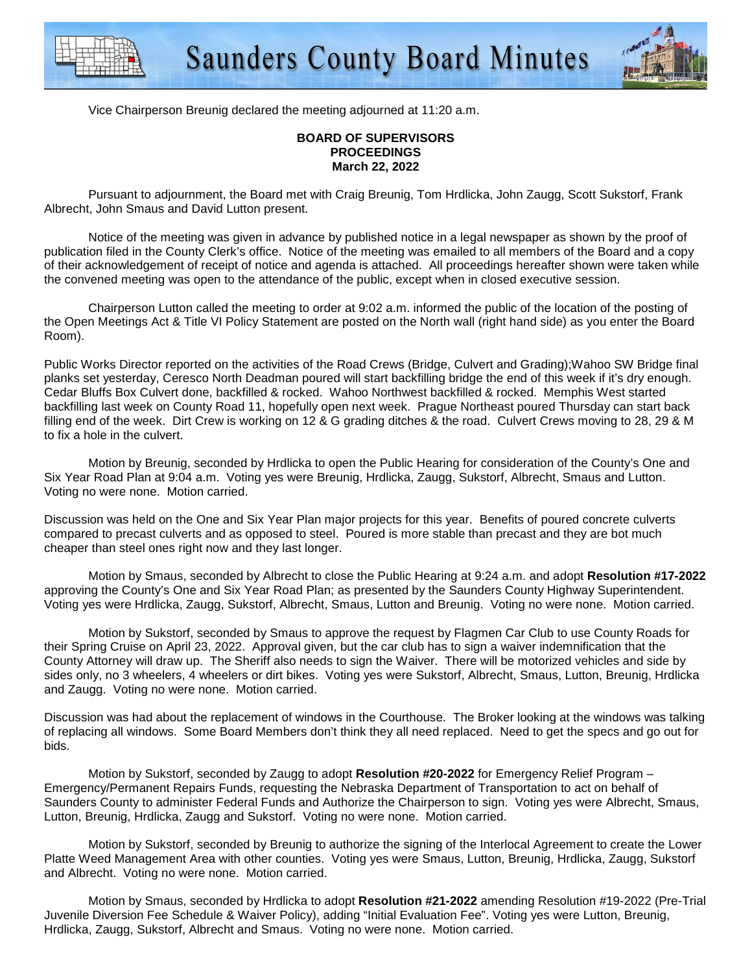



Vice Chairperson Breunig declared the meeting adjourned at 11:20 a.m.

### **BOARD OF SUPERVISORS PROCEEDINGS March 22, 2022**

 Pursuant to adjournment, the Board met with Craig Breunig, Tom Hrdlicka, John Zaugg, Scott Sukstorf, Frank Albrecht, John Smaus and David Lutton present.

 Notice of the meeting was given in advance by published notice in a legal newspaper as shown by the proof of publication filed in the County Clerk's office. Notice of the meeting was emailed to all members of the Board and a copy of their acknowledgement of receipt of notice and agenda is attached. All proceedings hereafter shown were taken while the convened meeting was open to the attendance of the public, except when in closed executive session.

 Chairperson Lutton called the meeting to order at 9:02 a.m. informed the public of the location of the posting of the Open Meetings Act & Title VI Policy Statement are posted on the North wall (right hand side) as you enter the Board Room).

Public Works Director reported on the activities of the Road Crews (Bridge, Culvert and Grading);Wahoo SW Bridge final planks set yesterday, Ceresco North Deadman poured will start backfilling bridge the end of this week if it's dry enough. Cedar Bluffs Box Culvert done, backfilled & rocked. Wahoo Northwest backfilled & rocked. Memphis West started backfilling last week on County Road 11, hopefully open next week. Prague Northeast poured Thursday can start back filling end of the week. Dirt Crew is working on 12 & G grading ditches & the road. Culvert Crews moving to 28, 29 & M to fix a hole in the culvert.

 Motion by Breunig, seconded by Hrdlicka to open the Public Hearing for consideration of the County's One and Six Year Road Plan at 9:04 a.m. Voting yes were Breunig, Hrdlicka, Zaugg, Sukstorf, Albrecht, Smaus and Lutton. Voting no were none. Motion carried.

Discussion was held on the One and Six Year Plan major projects for this year. Benefits of poured concrete culverts compared to precast culverts and as opposed to steel. Poured is more stable than precast and they are bot much cheaper than steel ones right now and they last longer.

 Motion by Smaus, seconded by Albrecht to close the Public Hearing at 9:24 a.m. and adopt **Resolution #17-2022** approving the County's One and Six Year Road Plan; as presented by the Saunders County Highway Superintendent. Voting yes were Hrdlicka, Zaugg, Sukstorf, Albrecht, Smaus, Lutton and Breunig. Voting no were none. Motion carried.

 Motion by Sukstorf, seconded by Smaus to approve the request by Flagmen Car Club to use County Roads for their Spring Cruise on April 23, 2022. Approval given, but the car club has to sign a waiver indemnification that the County Attorney will draw up. The Sheriff also needs to sign the Waiver. There will be motorized vehicles and side by sides only, no 3 wheelers, 4 wheelers or dirt bikes. Voting yes were Sukstorf, Albrecht, Smaus, Lutton, Breunig, Hrdlicka and Zaugg. Voting no were none. Motion carried.

Discussion was had about the replacement of windows in the Courthouse. The Broker looking at the windows was talking of replacing all windows. Some Board Members don't think they all need replaced. Need to get the specs and go out for bids.

 Motion by Sukstorf, seconded by Zaugg to adopt **Resolution #20-2022** for Emergency Relief Program – Emergency/Permanent Repairs Funds, requesting the Nebraska Department of Transportation to act on behalf of Saunders County to administer Federal Funds and Authorize the Chairperson to sign. Voting yes were Albrecht, Smaus, Lutton, Breunig, Hrdlicka, Zaugg and Sukstorf. Voting no were none. Motion carried.

 Motion by Sukstorf, seconded by Breunig to authorize the signing of the Interlocal Agreement to create the Lower Platte Weed Management Area with other counties. Voting yes were Smaus, Lutton, Breunig, Hrdlicka, Zaugg, Sukstorf and Albrecht. Voting no were none. Motion carried.

 Motion by Smaus, seconded by Hrdlicka to adopt **Resolution #21-2022** amending Resolution #19-2022 (Pre-Trial Juvenile Diversion Fee Schedule & Waiver Policy), adding "Initial Evaluation Fee". Voting yes were Lutton, Breunig, Hrdlicka, Zaugg, Sukstorf, Albrecht and Smaus. Voting no were none. Motion carried.